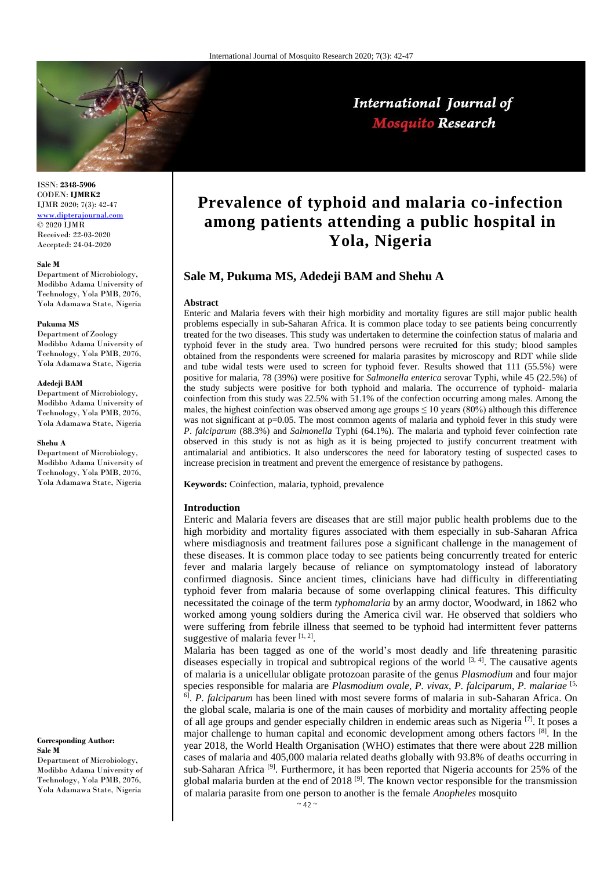

# International Journal of **Mosquito Research**

ISSN: **2348-5906** CODEN: **IJMRK2** IJMR 2020; 7(3): 42-47 <www.dipterajournal.com>  $\odot$  2020 IJMR Received: 22-03-2020 Accepted: 24-04-2020

#### **Sale M**

Department of Microbiology, Modibbo Adama University of Technology, Yola PMB, 2076, Yola Adamawa State, Nigeria

### **Pukuma MS**

Department of Zoology Modibbo Adama University of Technology, Yola PMB, 2076, Yola Adamawa State, Nigeria

## **Adedeji BAM**

Department of Microbiology, Modibbo Adama University of Technology, Yola PMB, 2076, Yola Adamawa State, Nigeria

### **Shehu A**

Department of Microbiology, Modibbo Adama University of Technology, Yola PMB, 2076, Yola Adamawa State, Nigeria

### **Corresponding Author: Sale M**

Department of Microbiology, Modibbo Adama University of Technology, Yola PMB, 2076, Yola Adamawa State, Nigeria

# **Prevalence of typhoid and malaria co-infection among patients attending a public hospital in Yola, Nigeria**

# **Sale M, Pukuma MS, Adedeji BAM and Shehu A**

#### **Abstract**

Enteric and Malaria fevers with their high morbidity and mortality figures are still major public health problems especially in sub-Saharan Africa. It is common place today to see patients being concurrently treated for the two diseases. This study was undertaken to determine the coinfection status of malaria and typhoid fever in the study area. Two hundred persons were recruited for this study; blood samples obtained from the respondents were screened for malaria parasites by microscopy and RDT while slide and tube widal tests were used to screen for typhoid fever. Results showed that 111 (55.5%) were positive for malaria, 78 (39%) were positive for *Salmonella enterica* serovar Typhi, while 45 (22.5%) of the study subjects were positive for both typhoid and malaria. The occurrence of typhoid- malaria coinfection from this study was 22.5% with 51.1% of the confection occurring among males. Among the males, the highest coinfection was observed among age groups  $\leq 10$  years (80%) although this difference was not significant at p=0.05. The most common agents of malaria and typhoid fever in this study were *P*. *falciparum* (88.3%) and *Salmonella* Typhi (64.1%). The malaria and typhoid fever coinfection rate observed in this study is not as high as it is being projected to justify concurrent treatment with antimalarial and antibiotics. It also underscores the need for laboratory testing of suspected cases to increase precision in treatment and prevent the emergence of resistance by pathogens.

**Keywords:** Coinfection, malaria, typhoid, prevalence

## **Introduction**

Enteric and Malaria fevers are diseases that are still major public health problems due to the high morbidity and mortality figures associated with them especially in sub-Saharan Africa where misdiagnosis and treatment failures pose a significant challenge in the management of these diseases. It is common place today to see patients being concurrently treated for enteric fever and malaria largely because of reliance on symptomatology instead of laboratory confirmed diagnosis. Since ancient times, clinicians have had difficulty in differentiating typhoid fever from malaria because of some overlapping clinical features. This difficulty necessitated the coinage of the term *typhomalaria* by an army doctor, Woodward, in 1862 who worked among young soldiers during the America civil war. He observed that soldiers who were suffering from febrile illness that seemed to be typhoid had intermittent fever patterns suggestive of malaria fever  $[1, 2]$ .

Malaria has been tagged as one of the world's most deadly and life threatening parasitic diseases especially in tropical and subtropical regions of the world  $[3, 4]$ . The causative agents of malaria is a unicellular obligate protozoan parasite of the genus *Plasmodium* and four major species responsible for malaria are *Plasmodium ovale*, *P. vivax*, *P. falciparum*, *P. malariae* [5, 6] . *P. falciparum* has been lined with most severe forms of malaria in sub-Saharan Africa. On the global scale, malaria is one of the main causes of morbidity and mortality affecting people of all age groups and gender especially children in endemic areas such as Nigeria<sup>[7]</sup>. It poses a major challenge to human capital and economic development among others factors  $^{[8]}$ . In the year 2018, the World Health Organisation (WHO) estimates that there were about 228 million cases of malaria and 405,000 malaria related deaths globally with 93.8% of deaths occurring in sub-Saharan Africa<sup>[9]</sup>. Furthermore, it has been reported that Nigeria accounts for 25% of the global malaria burden at the end of 2018<sup>[9]</sup>. The known vector responsible for the transmission of malaria parasite from one person to another is the female *Anopheles* mosquito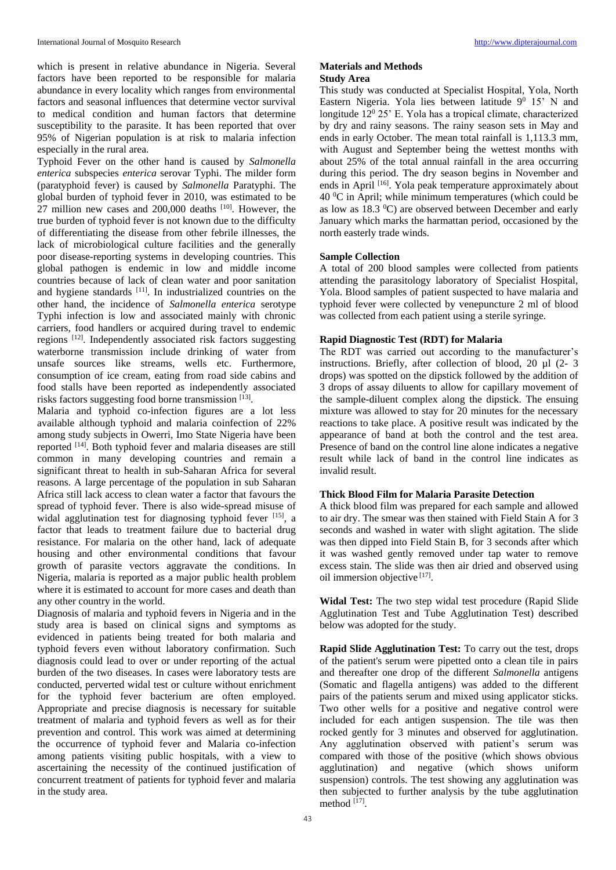which is present in relative abundance in Nigeria. Several factors have been reported to be responsible for malaria abundance in every locality which ranges from environmental factors and seasonal influences that determine vector survival to medical condition and human factors that determine susceptibility to the parasite. It has been reported that over 95% of Nigerian population is at risk to malaria infection especially in the rural area.

Typhoid Fever on the other hand is caused by *Salmonella enterica* subspecies *enterica* serovar Typhi. The milder form (paratyphoid fever) is caused by *Salmonella* Paratyphi. The global burden of typhoid fever in 2010, was estimated to be  $27$  million new cases and 200,000 deaths  $[10]$ . However, the true burden of typhoid fever is not known due to the difficulty of differentiating the disease from other febrile illnesses, the lack of microbiological culture facilities and the generally poor disease-reporting systems in developing countries. This global pathogen is endemic in low and middle income countries because of lack of clean water and poor sanitation and hygiene standards [11]. In industrialized countries on the other hand, the incidence of *Salmonella enterica* serotype Typhi infection is low and associated mainly with chronic carriers, food handlers or acquired during travel to endemic regions [12]. Independently associated risk factors suggesting waterborne transmission include drinking of water from unsafe sources like streams, wells etc. Furthermore, consumption of ice cream, eating from road side cabins and food stalls have been reported as independently associated risks factors suggesting food borne transmission [13].

Malaria and typhoid co-infection figures are a lot less available although typhoid and malaria coinfection of 22% among study subjects in Owerri, Imo State Nigeria have been reported [14]. Both typhoid fever and malaria diseases are still common in many developing countries and remain a significant threat to health in sub-Saharan Africa for several reasons. A large percentage of the population in sub Saharan Africa still lack access to clean water a factor that favours the spread of typhoid fever. There is also wide-spread misuse of widal agglutination test for diagnosing typhoid fever [15], a factor that leads to treatment failure due to bacterial drug resistance. For malaria on the other hand, lack of adequate housing and other environmental conditions that favour growth of parasite vectors aggravate the conditions. In Nigeria, malaria is reported as a major public health problem where it is estimated to account for more cases and death than any other country in the world.

Diagnosis of malaria and typhoid fevers in Nigeria and in the study area is based on clinical signs and symptoms as evidenced in patients being treated for both malaria and typhoid fevers even without laboratory confirmation. Such diagnosis could lead to over or under reporting of the actual burden of the two diseases. In cases were laboratory tests are conducted, perverted widal test or culture without enrichment for the typhoid fever bacterium are often employed. Appropriate and precise diagnosis is necessary for suitable treatment of malaria and typhoid fevers as well as for their prevention and control. This work was aimed at determining the occurrence of typhoid fever and Malaria co-infection among patients visiting public hospitals, with a view to ascertaining the necessity of the continued justification of concurrent treatment of patients for typhoid fever and malaria in the study area.

# **Materials and Methods**

# **Study Area**

This study was conducted at Specialist Hospital, Yola, North Eastern Nigeria. Yola lies between latitude  $9^0$  15' N and longitude  $12^{\circ}$  25' E. Yola has a tropical climate, characterized by dry and rainy seasons. The rainy season sets in May and ends in early October. The mean total rainfall is 1,113.3 mm, with August and September being the wettest months with about 25% of the total annual rainfall in the area occurring during this period. The dry season begins in November and ends in April [16]. Yola peak temperature approximately about  $40<sup>0</sup>C$  in April; while minimum temperatures (which could be as low as 18.3 <sup>0</sup>C) are observed between December and early January which marks the harmattan period, occasioned by the north easterly trade winds.

# **Sample Collection**

A total of 200 blood samples were collected from patients attending the parasitology laboratory of Specialist Hospital, Yola. Blood samples of patient suspected to have malaria and typhoid fever were collected by venepuncture 2 ml of blood was collected from each patient using a sterile syringe.

# **Rapid Diagnostic Test (RDT) for Malaria**

The RDT was carried out according to the manufacturer's instructions. Briefly, after collection of blood, 20 µl (2- 3 drops) was spotted on the dipstick followed by the addition of 3 drops of assay diluents to allow for capillary movement of the sample-diluent complex along the dipstick. The ensuing mixture was allowed to stay for 20 minutes for the necessary reactions to take place. A positive result was indicated by the appearance of band at both the control and the test area. Presence of band on the control line alone indicates a negative result while lack of band in the control line indicates as invalid result.

# **Thick Blood Film for Malaria Parasite Detection**

A thick blood film was prepared for each sample and allowed to air dry. The smear was then stained with Field Stain A for 3 seconds and washed in water with slight agitation. The slide was then dipped into Field Stain B, for 3 seconds after which it was washed gently removed under tap water to remove excess stain. The slide was then air dried and observed using oil immersion objective [17].

**Widal Test:** The two step widal test procedure (Rapid Slide Agglutination Test and Tube Agglutination Test) described below was adopted for the study.

**Rapid Slide Agglutination Test:** To carry out the test, drops of the patient's serum were pipetted onto a clean tile in pairs and thereafter one drop of the different *Salmonella* antigens (Somatic and flagella antigens) was added to the different pairs of the patients serum and mixed using applicator sticks. Two other wells for a positive and negative control were included for each antigen suspension. The tile was then rocked gently for 3 minutes and observed for agglutination. Any agglutination observed with patient's serum was compared with those of the positive (which shows obvious agglutination) and negative (which shows uniform suspension) controls. The test showing any agglutination was then subjected to further analysis by the tube agglutination method [17].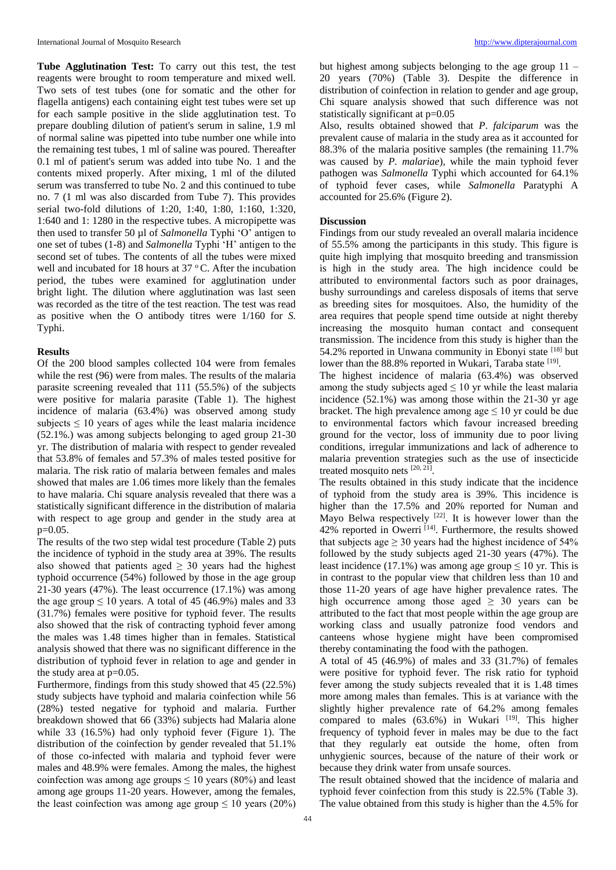**Tube Agglutination Test:** To carry out this test, the test reagents were brought to room temperature and mixed well. Two sets of test tubes (one for somatic and the other for flagella antigens) each containing eight test tubes were set up for each sample positive in the slide agglutination test. To prepare doubling dilution of patient's serum in saline, 1.9 ml of normal saline was pipetted into tube number one while into the remaining test tubes, 1 ml of saline was poured. Thereafter 0.1 ml of patient's serum was added into tube No. 1 and the contents mixed properly. After mixing, 1 ml of the diluted serum was transferred to tube No. 2 and this continued to tube no. 7 (1 ml was also discarded from Tube 7). This provides serial two-fold dilutions of 1:20, 1:40, 1:80, 1:160, 1:320, 1:640 and 1: 1280 in the respective tubes. A micropipette was then used to transfer 50 µl of *Salmonella* Typhi 'O' antigen to one set of tubes (1-8) and *Salmonella* Typhi 'H' antigen to the second set of tubes. The contents of all the tubes were mixed well and incubated for 18 hours at  $37^{\circ}$ C. After the incubation period, the tubes were examined for agglutination under bright light. The dilution where agglutination was last seen was recorded as the titre of the test reaction. The test was read as positive when the O antibody titres were 1/160 for *S.*  Typhi.

## **Results**

Of the 200 blood samples collected 104 were from females while the rest (96) were from males. The results of the malaria parasite screening revealed that 111 (55.5%) of the subjects were positive for malaria parasite (Table 1). The highest incidence of malaria (63.4%) was observed among study subjects  $\leq 10$  years of ages while the least malaria incidence (52.1%.) was among subjects belonging to aged group 21-30 yr. The distribution of malaria with respect to gender revealed that 53.8% of females and 57.3% of males tested positive for malaria. The risk ratio of malaria between females and males showed that males are 1.06 times more likely than the females to have malaria. Chi square analysis revealed that there was a statistically significant difference in the distribution of malaria with respect to age group and gender in the study area at p=0.05.

The results of the two step widal test procedure (Table 2) puts the incidence of typhoid in the study area at 39%. The results also showed that patients aged  $\geq$  30 years had the highest typhoid occurrence (54%) followed by those in the age group 21-30 years (47%). The least occurrence (17.1%) was among the age group  $\leq 10$  years. A total of 45 (46.9%) males and 33 (31.7%) females were positive for typhoid fever. The results also showed that the risk of contracting typhoid fever among the males was 1.48 times higher than in females. Statistical analysis showed that there was no significant difference in the distribution of typhoid fever in relation to age and gender in the study area at p=0.05.

Furthermore, findings from this study showed that 45 (22.5%) study subjects have typhoid and malaria coinfection while 56 (28%) tested negative for typhoid and malaria. Further breakdown showed that 66 (33%) subjects had Malaria alone while 33 (16.5%) had only typhoid fever (Figure 1). The distribution of the coinfection by gender revealed that 51.1% of those co-infected with malaria and typhoid fever were males and 48.9% were females. Among the males, the highest coinfection was among age groups  $\leq 10$  years (80%) and least among age groups 11-20 years. However, among the females, the least coinfection was among age group  $\leq 10$  years (20%)

but highest among subjects belonging to the age group  $11 -$ 20 years (70%) (Table 3). Despite the difference in distribution of coinfection in relation to gender and age group, Chi square analysis showed that such difference was not statistically significant at p=0.05

Also, results obtained showed that *P*. *falciparum* was the prevalent cause of malaria in the study area as it accounted for 88.3% of the malaria positive samples (the remaining 11.7% was caused by *P. malariae*), while the main typhoid fever pathogen was *Salmonella* Typhi which accounted for 64.1% of typhoid fever cases, while *Salmonella* Paratyphi A accounted for 25.6% (Figure 2).

# **Discussion**

Findings from our study revealed an overall malaria incidence of 55.5% among the participants in this study. This figure is quite high implying that mosquito breeding and transmission is high in the study area. The high incidence could be attributed to environmental factors such as poor drainages, bushy surroundings and careless disposals of items that serve as breeding sites for mosquitoes. Also, the humidity of the area requires that people spend time outside at night thereby increasing the mosquito human contact and consequent transmission. The incidence from this study is higher than the 54.2% reported in Unwana community in Ebonyi state [18] but lower than the 88.8% reported in Wukari, Taraba state [19].

The highest incidence of malaria (63.4%) was observed among the study subjects aged  $\leq 10$  yr while the least malaria incidence (52.1%) was among those within the 21-30 yr age bracket. The high prevalence among age  $\leq 10$  yr could be due to environmental factors which favour increased breeding ground for the vector, loss of immunity due to poor living conditions, irregular immunizations and lack of adherence to malaria prevention strategies such as the use of insecticide treated mosquito nets [20, 21].

The results obtained in this study indicate that the incidence of typhoid from the study area is 39%. This incidence is higher than the 17.5% and 20% reported for Numan and Mayo Belwa respectively  $[22]$ . It is however lower than the  $42\%$  reported in Owerri <sup>[14]</sup>. Furthermore, the results showed that subjects age  $\geq$  30 years had the highest incidence of 54% followed by the study subjects aged 21-30 years (47%). The least incidence (17.1%) was among age group  $\leq 10$  yr. This is in contrast to the popular view that children less than 10 and those 11-20 years of age have higher prevalence rates. The high occurrence among those aged  $\geq 30$  years can be attributed to the fact that most people within the age group are working class and usually patronize food vendors and canteens whose hygiene might have been compromised thereby contaminating the food with the pathogen.

A total of 45 (46.9%) of males and 33 (31.7%) of females were positive for typhoid fever. The risk ratio for typhoid fever among the study subjects revealed that it is 1.48 times more among males than females. This is at variance with the slightly higher prevalence rate of 64.2% among females compared to males  $(63.6%)$  in Wukari  $[19]$ . This higher frequency of typhoid fever in males may be due to the fact that they regularly eat outside the home, often from unhygienic sources, because of the nature of their work or because they drink water from unsafe sources.

The result obtained showed that the incidence of malaria and typhoid fever coinfection from this study is 22.5% (Table 3). The value obtained from this study is higher than the 4.5% for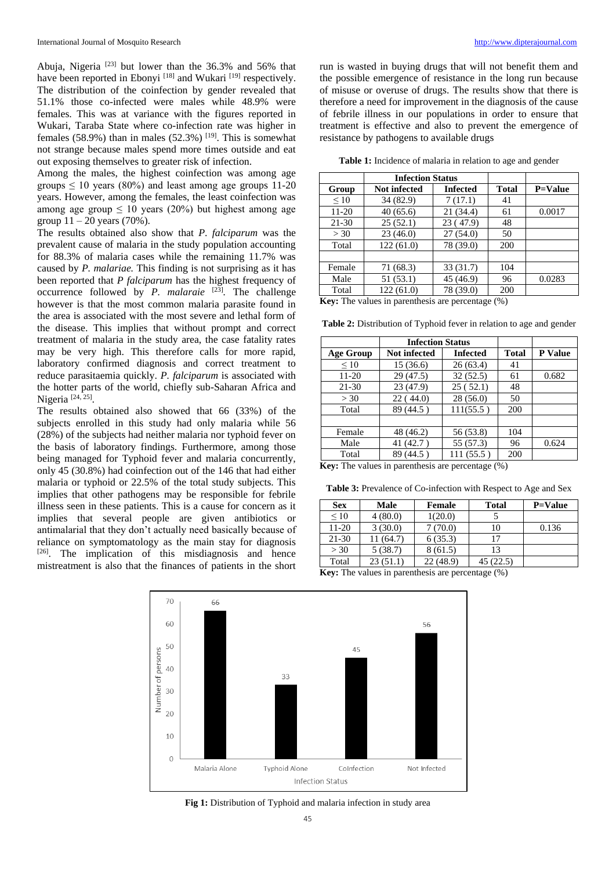Abuja, Nigeria  $[23]$  but lower than the 36.3% and 56% that have been reported in Ebonyi<sup>[18]</sup> and Wukari<sup>[19]</sup> respectively. The distribution of the coinfection by gender revealed that 51.1% those co-infected were males while 48.9% were females. This was at variance with the figures reported in Wukari, Taraba State where co-infection rate was higher in females (58.9%) than in males (52.3%)  $[19]$ . This is somewhat not strange because males spend more times outside and eat out exposing themselves to greater risk of infection.

Among the males, the highest coinfection was among age groups  $\leq 10$  years (80%) and least among age groups 11-20 years. However, among the females, the least coinfection was among age group  $\leq 10$  years (20%) but highest among age group  $11 - 20$  years (70%).

The results obtained also show that *P*. *falciparum* was the prevalent cause of malaria in the study population accounting for 88.3% of malaria cases while the remaining 11.7% was caused by *P. malariae.* This finding is not surprising as it has been reported that *P falciparum* has the highest frequency of occurrence followed by *P. malaraie* <sup>[23]</sup>. The challenge however is that the most common malaria parasite found in the area is associated with the most severe and lethal form of the disease. This implies that without prompt and correct treatment of malaria in the study area, the case fatality rates may be very high. This therefore calls for more rapid, laboratory confirmed diagnosis and correct treatment to reduce parasitaemia quickly. *P. falciparum* is associated with the hotter parts of the world, chiefly sub-Saharan Africa and Nigeria<sup>[24, 25]</sup>.

The results obtained also showed that 66 (33%) of the subjects enrolled in this study had only malaria while 56 (28%) of the subjects had neither malaria nor typhoid fever on the basis of laboratory findings. Furthermore, among those being managed for Typhoid fever and malaria concurrently, only 45 (30.8%) had coinfection out of the 146 that had either malaria or typhoid or 22.5% of the total study subjects. This implies that other pathogens may be responsible for febrile illness seen in these patients. This is a cause for concern as it implies that several people are given antibiotics or antimalarial that they don't actually need basically because of reliance on symptomatology as the main stay for diagnosis  $[26]$ . The implication of this misdiagnosis and hence mistreatment is also that the finances of patients in the short

run is wasted in buying drugs that will not benefit them and the possible emergence of resistance in the long run because of misuse or overuse of drugs. The results show that there is therefore a need for improvement in the diagnosis of the cause of febrile illness in our populations in order to ensure that treatment is effective and also to prevent the emergence of resistance by pathogens to available drugs

**Table 1:** Incidence of malaria in relation to age and gender

|           | <b>Infection Status</b> |                 |              |                |
|-----------|-------------------------|-----------------|--------------|----------------|
| Group     | <b>Not infected</b>     | <b>Infected</b> | <b>Total</b> | <b>P=Value</b> |
| $\leq 10$ | 34 (82.9)               | 7(17.1)         | 41           |                |
| 11-20     | 40(65.6)                | 21(34.4)        | 61           | 0.0017         |
| $21 - 30$ | 25(52.1)                | 23 (47.9)       | 48           |                |
| > 30      | 23(46.0)                | 27(54.0)        | 50           |                |
| Total     | 122(61.0)               | 78 (39.0)       | 200          |                |
|           |                         |                 |              |                |
| Female    | 71 (68.3)               | 33(31.7)        | 104          |                |
| Male      | 51(53.1)                | 45 (46.9)       | 96           | 0.0283         |
| Total     | 122(61.0)               | 78 (39.0)       | 200          |                |

**Key:** The values in parenthesis are percentage  $(\%)$ 

**Table 2:** Distribution of Typhoid fever in relation to age and gender

|                  | <b>Infection Status</b> |                 |              |         |
|------------------|-------------------------|-----------------|--------------|---------|
| <b>Age Group</b> | <b>Not infected</b>     | <b>Infected</b> | <b>Total</b> | P Value |
| $\leq 10$        | 15(36.6)                | 26(63.4)        | 41           |         |
| 11-20            | 29(47.5)                | 32(52.5)        | 61           | 0.682   |
| 21-30            | 23(47.9)                | 25(52.1)        | 48           |         |
| >30              | 22(44.0)                | 28(56.0)        | 50           |         |
| Total            | 89 (44.5)               | 111(55.5)       | 200          |         |
|                  |                         |                 |              |         |
| Female           | 48 (46.2)               | 56 (53.8)       | 104          |         |
| Male             | 41 (42.7)               | 55 (57.3)       | 96           | 0.624   |
| Total            | 89 (44.5)               | 111(55.5)       | 200          |         |

**Key:** The values in parenthesis are percentage (%)

**Table 3:** Prevalence of Co-infection with Respect to Age and Sex

| <b>Sex</b>                                                  | Male      | Female   | <b>Total</b> | <b>P=Value</b> |  |
|-------------------------------------------------------------|-----------|----------|--------------|----------------|--|
| $\leq 10$                                                   | 4(80.0)   | 1(20.0)  |              |                |  |
| 11-20                                                       | 3(30.0)   | 7(70.0)  | 10           | 0.136          |  |
| $21-30$                                                     | 11 (64.7) | 6(35.3)  | 17           |                |  |
| >30                                                         | 5(38.7)   | 8(61.5)  | 13           |                |  |
| Total                                                       | 23(51.1)  | 22(48.9) | 45(22.5)     |                |  |
| <b>Key:</b> The values in parenthesis are percentage $(\%)$ |           |          |              |                |  |



**Fig 1:** Distribution of Typhoid and malaria infection in study area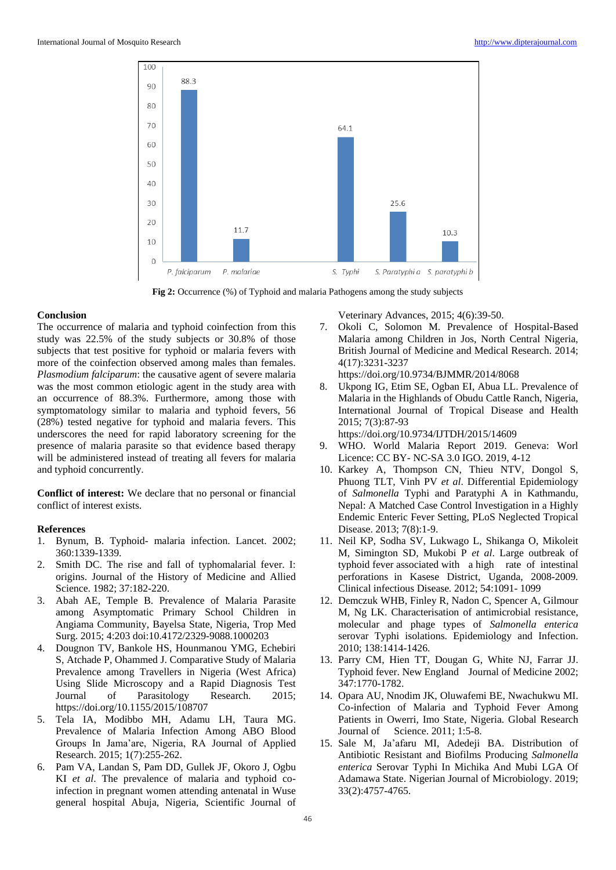

**Fig 2:** Occurrence (%) of Typhoid and malaria Pathogens among the study subjects

## **Conclusion**

The occurrence of malaria and typhoid coinfection from this study was 22.5% of the study subjects or 30.8% of those subjects that test positive for typhoid or malaria fevers with more of the coinfection observed among males than females. *Plasmodium falciparum*: the causative agent of severe malaria was the most common etiologic agent in the study area with an occurrence of 88.3%. Furthermore, among those with symptomatology similar to malaria and typhoid fevers, 56 (28%) tested negative for typhoid and malaria fevers. This underscores the need for rapid laboratory screening for the presence of malaria parasite so that evidence based therapy will be administered instead of treating all fevers for malaria and typhoid concurrently.

**Conflict of interest:** We declare that no personal or financial conflict of interest exists.

## **References**

- 1. Bynum, B. Typhoid- malaria infection. Lancet. 2002; 360:1339-1339.
- 2. Smith DC. The rise and fall of typhomalarial fever. I: origins. Journal of the History of Medicine and Allied Science. 1982; 37:182-220.
- 3. Abah AE, Temple B. Prevalence of Malaria Parasite among Asymptomatic Primary School Children in Angiama Community, Bayelsa State, Nigeria, Trop Med Surg. 2015; 4:203 doi:10.4172/2329-9088.1000203
- 4. Dougnon TV, Bankole HS, Hounmanou YMG, Echebiri S, Atchade P, Ohammed J. Comparative Study of Malaria Prevalence among Travellers in Nigeria (West Africa) Using Slide Microscopy and a Rapid Diagnosis Test Journal of Parasitology Research. 2015; https://doi.org/10.1155/2015/108707
- 5. Tela IA, Modibbo MH, Adamu LH, Taura MG. Prevalence of Malaria Infection Among ABO Blood Groups In Jama'are, Nigeria, RA Journal of Applied Research. 2015; 1(7):255-262.
- 6. Pam VA, Landan S, Pam DD, Gullek JF, Okoro J, Ogbu KI *et al*. The prevalence of malaria and typhoid coinfection in pregnant women attending antenatal in Wuse general hospital Abuja, Nigeria, Scientific Journal of

Veterinary Advances, 2015; 4(6):39-50.

7. Okoli C, Solomon M. Prevalence of Hospital-Based Malaria among Children in Jos, North Central Nigeria, British Journal of Medicine and Medical Research. 2014; 4(17):3231-3237

https://doi.org/10.9734/BJMMR/2014/8068

8. Ukpong IG, Etim SE, Ogban EI, Abua LL. Prevalence of Malaria in the Highlands of Obudu Cattle Ranch, Nigeria, International Journal of Tropical Disease and Health 2015; 7(3):87-93

https://doi.org/10.9734/IJTDH/2015/14609

- 9. WHO. World Malaria Report 2019. Geneva: Worl Licence: CC BY- NC-SA 3.0 IGO. 2019, 4-12
- 10. Karkey A, Thompson CN, Thieu NTV, Dongol S, Phuong TLT, Vinh PV *et al*. Differential Epidemiology of *Salmonella* Typhi and Paratyphi A in Kathmandu, Nepal: A Matched Case Control Investigation in a Highly Endemic Enteric Fever Setting, PLoS Neglected Tropical Disease. 2013; 7(8):1-9.
- 11. Neil KP, Sodha SV, Lukwago L, Shikanga O, Mikoleit M, Simington SD, Mukobi P *et al*. Large outbreak of typhoid fever associated with a high rate of intestinal perforations in Kasese District, Uganda, 2008-2009*.*  Clinical infectious Disease*.* 2012; 54:1091- 1099
- 12. Demczuk WHB, Finley R, Nadon C, Spencer A, Gilmour M, Ng LK. Characterisation of antimicrobial resistance, molecular and phage types of *Salmonella enterica* serovar Typhi isolations. Epidemiology and Infection. 2010; 138:1414-1426.
- 13. Parry CM, Hien TT, Dougan G, White NJ, Farrar JJ. Typhoid fever. New England Journal of Medicine 2002; 347:1770-1782.
- 14. Opara AU, Nnodim JK, Oluwafemi BE, Nwachukwu MI. Co-infection of Malaria and Typhoid Fever Among Patients in Owerri, Imo State, Nigeria. Global Research Journal of Science. 2011; 1:5-8.
- 15. Sale M, Ja'afaru MI, Adedeji BA. Distribution of Antibiotic Resistant and Biofilms Producing *Salmonella enterica* Serovar Typhi In Michika And Mubi LGA Of Adamawa State. Nigerian Journal of Microbiology. 2019; 33(2):4757-4765.